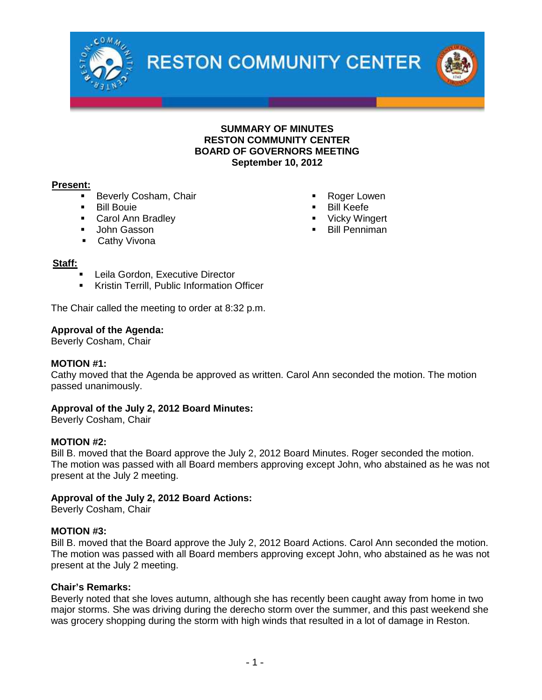

**RESTON COMMUNITY CENTER** 



## **SUMMARY OF MINUTES RESTON COMMUNITY CENTER BOARD OF GOVERNORS MEETING September 10, 2012**

## **Present:**

- **Beverly Cosham, Chair**
- **Bill Bouie**
- **Carol Ann Bradley**
- **John Gasson**
- **Cathy Vivona**

### **Staff:**

- Leila Gordon, Executive Director
- **Kristin Terrill, Public Information Officer**

The Chair called the meeting to order at 8:32 p.m.

### **Approval of the Agenda:**

Beverly Cosham, Chair

### **MOTION #1:**

Cathy moved that the Agenda be approved as written. Carol Ann seconded the motion. The motion passed unanimously.

# **Approval of the July 2, 2012 Board Minutes:**

Beverly Cosham, Chair

### **MOTION #2:**

Bill B. moved that the Board approve the July 2, 2012 Board Minutes. Roger seconded the motion. The motion was passed with all Board members approving except John, who abstained as he was not present at the July 2 meeting.

# **Approval of the July 2, 2012 Board Actions:**

Beverly Cosham, Chair

### **MOTION #3:**

Bill B. moved that the Board approve the July 2, 2012 Board Actions. Carol Ann seconded the motion. The motion was passed with all Board members approving except John, who abstained as he was not present at the July 2 meeting.

### **Chair's Remarks:**

Beverly noted that she loves autumn, although she has recently been caught away from home in two major storms. She was driving during the derecho storm over the summer, and this past weekend she was grocery shopping during the storm with high winds that resulted in a lot of damage in Reston.

- Roger Lowen
- Bill Keefe
- Vicky Wingert
- **Bill Penniman**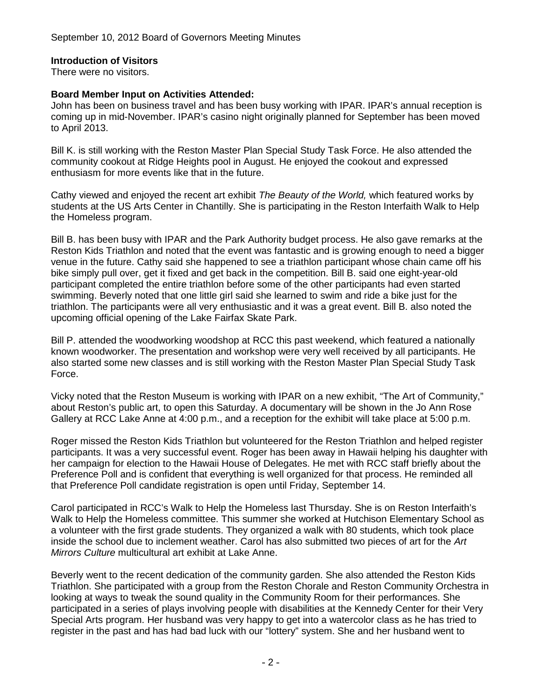# **Introduction of Visitors**

There were no visitors.

# **Board Member Input on Activities Attended:**

John has been on business travel and has been busy working with IPAR. IPAR's annual reception is coming up in mid-November. IPAR's casino night originally planned for September has been moved to April 2013.

Bill K. is still working with the Reston Master Plan Special Study Task Force. He also attended the community cookout at Ridge Heights pool in August. He enjoyed the cookout and expressed enthusiasm for more events like that in the future.

Cathy viewed and enjoyed the recent art exhibit *The Beauty of the World,* which featured works by students at the US Arts Center in Chantilly. She is participating in the Reston Interfaith Walk to Help the Homeless program.

Bill B. has been busy with IPAR and the Park Authority budget process. He also gave remarks at the Reston Kids Triathlon and noted that the event was fantastic and is growing enough to need a bigger venue in the future. Cathy said she happened to see a triathlon participant whose chain came off his bike simply pull over, get it fixed and get back in the competition. Bill B. said one eight-year-old participant completed the entire triathlon before some of the other participants had even started swimming. Beverly noted that one little girl said she learned to swim and ride a bike just for the triathlon. The participants were all very enthusiastic and it was a great event. Bill B. also noted the upcoming official opening of the Lake Fairfax Skate Park.

Bill P. attended the woodworking woodshop at RCC this past weekend, which featured a nationally known woodworker. The presentation and workshop were very well received by all participants. He also started some new classes and is still working with the Reston Master Plan Special Study Task Force.

Vicky noted that the Reston Museum is working with IPAR on a new exhibit, "The Art of Community," about Reston's public art, to open this Saturday. A documentary will be shown in the Jo Ann Rose Gallery at RCC Lake Anne at 4:00 p.m., and a reception for the exhibit will take place at 5:00 p.m.

Roger missed the Reston Kids Triathlon but volunteered for the Reston Triathlon and helped register participants. It was a very successful event. Roger has been away in Hawaii helping his daughter with her campaign for election to the Hawaii House of Delegates. He met with RCC staff briefly about the Preference Poll and is confident that everything is well organized for that process. He reminded all that Preference Poll candidate registration is open until Friday, September 14.

Carol participated in RCC's Walk to Help the Homeless last Thursday. She is on Reston Interfaith's Walk to Help the Homeless committee. This summer she worked at Hutchison Elementary School as a volunteer with the first grade students. They organized a walk with 80 students, which took place inside the school due to inclement weather. Carol has also submitted two pieces of art for the *Art Mirrors Culture* multicultural art exhibit at Lake Anne.

Beverly went to the recent dedication of the community garden. She also attended the Reston Kids Triathlon. She participated with a group from the Reston Chorale and Reston Community Orchestra in looking at ways to tweak the sound quality in the Community Room for their performances. She participated in a series of plays involving people with disabilities at the Kennedy Center for their Very Special Arts program. Her husband was very happy to get into a watercolor class as he has tried to register in the past and has had bad luck with our "lottery" system. She and her husband went to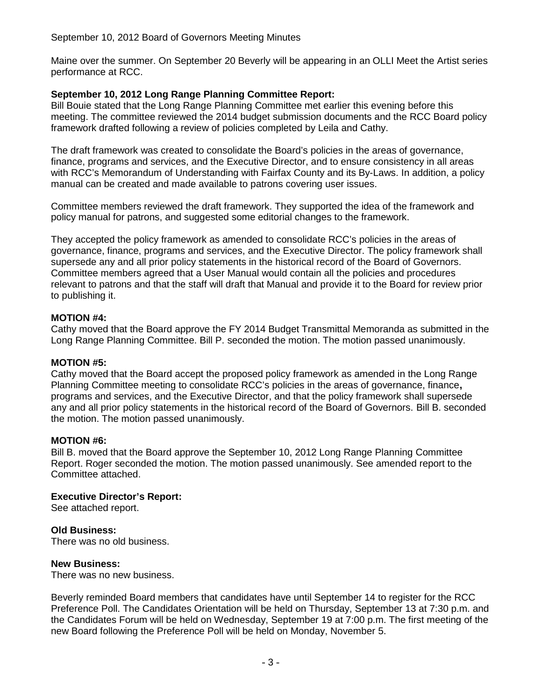# September 10, 2012 Board of Governors Meeting Minutes

Maine over the summer. On September 20 Beverly will be appearing in an OLLI Meet the Artist series performance at RCC.

# **September 10, 2012 Long Range Planning Committee Report:**

Bill Bouie stated that the Long Range Planning Committee met earlier this evening before this meeting. The committee reviewed the 2014 budget submission documents and the RCC Board policy framework drafted following a review of policies completed by Leila and Cathy.

The draft framework was created to consolidate the Board's policies in the areas of governance, finance, programs and services, and the Executive Director, and to ensure consistency in all areas with RCC's Memorandum of Understanding with Fairfax County and its By-Laws. In addition, a policy manual can be created and made available to patrons covering user issues.

Committee members reviewed the draft framework. They supported the idea of the framework and policy manual for patrons, and suggested some editorial changes to the framework.

They accepted the policy framework as amended to consolidate RCC's policies in the areas of governance, finance, programs and services, and the Executive Director. The policy framework shall supersede any and all prior policy statements in the historical record of the Board of Governors. Committee members agreed that a User Manual would contain all the policies and procedures relevant to patrons and that the staff will draft that Manual and provide it to the Board for review prior to publishing it.

## **MOTION #4:**

Cathy moved that the Board approve the FY 2014 Budget Transmittal Memoranda as submitted in the Long Range Planning Committee. Bill P. seconded the motion. The motion passed unanimously.

### **MOTION #5:**

Cathy moved that the Board accept the proposed policy framework as amended in the Long Range Planning Committee meeting to consolidate RCC's policies in the areas of governance, finance**,** programs and services, and the Executive Director, and that the policy framework shall supersede any and all prior policy statements in the historical record of the Board of Governors. Bill B. seconded the motion. The motion passed unanimously.

### **MOTION #6:**

Bill B. moved that the Board approve the September 10, 2012 Long Range Planning Committee Report. Roger seconded the motion. The motion passed unanimously. See amended report to the Committee attached.

# **Executive Director's Report:**

See attached report.

# **Old Business:**

There was no old business.

### **New Business:**

There was no new business.

Beverly reminded Board members that candidates have until September 14 to register for the RCC Preference Poll. The Candidates Orientation will be held on Thursday, September 13 at 7:30 p.m. and the Candidates Forum will be held on Wednesday, September 19 at 7:00 p.m. The first meeting of the new Board following the Preference Poll will be held on Monday, November 5.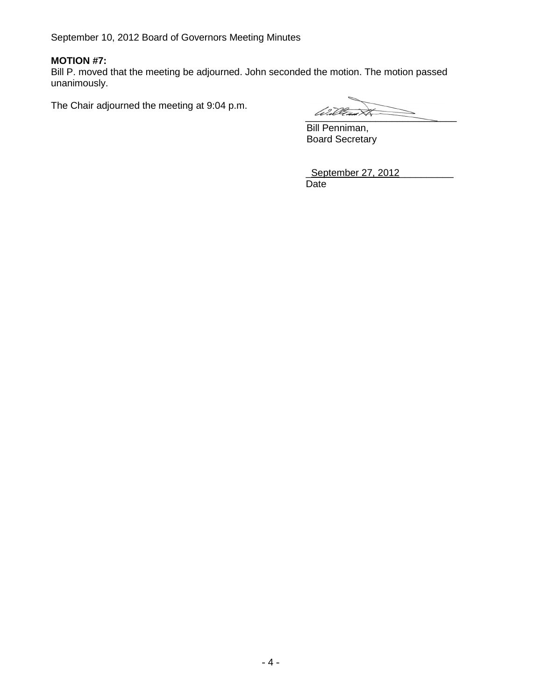September 10, 2012 Board of Governors Meeting Minutes

# **MOTION #7:**

Bill P. moved that the meeting be adjourned. John seconded the motion. The motion passed unanimously.

The Chair adjourned the meeting at 9:04 p.m.

William XX

Bill Penniman, Board Secretary

| September 27, 2012 |  |
|--------------------|--|
| Date               |  |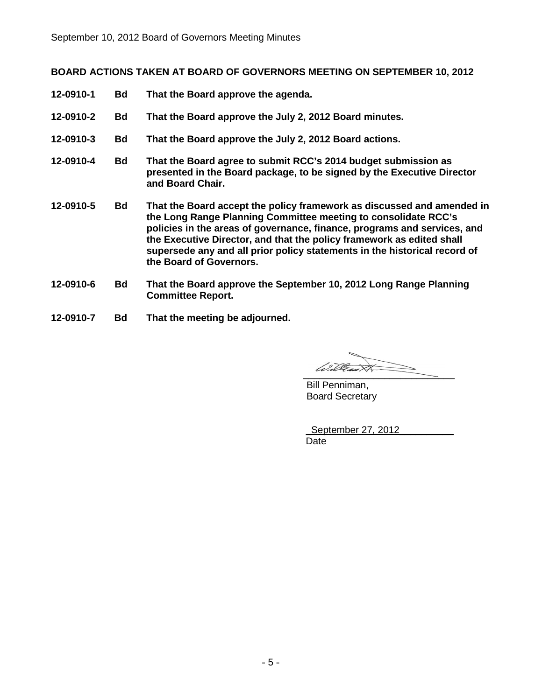# **BOARD ACTIONS TAKEN AT BOARD OF GOVERNORS MEETING ON SEPTEMBER 10, 2012**

- **12-0910-1 Bd That the Board approve the agenda.**
- **12-0910-2 Bd That the Board approve the July 2, 2012 Board minutes.**
- **12-0910-3 Bd That the Board approve the July 2, 2012 Board actions.**
- **12-0910-4 Bd That the Board agree to submit RCC's 2014 budget submission as presented in the Board package, to be signed by the Executive Director and Board Chair.**
- **12-0910-5 Bd That the Board accept the policy framework as discussed and amended in the Long Range Planning Committee meeting to consolidate RCC's policies in the areas of governance, finance, programs and services, and the Executive Director, and that the policy framework as edited shall supersede any and all prior policy statements in the historical record of the Board of Governors.**
- **12-0910-6 Bd That the Board approve the September 10, 2012 Long Range Planning Committee Report.**
- **12-0910-7 Bd That the meeting be adjourned.**

 $\overline{\phantom{a}}$ 

Bill Penniman, Board Secretary

| September 27, 2012 |  |
|--------------------|--|
| Date               |  |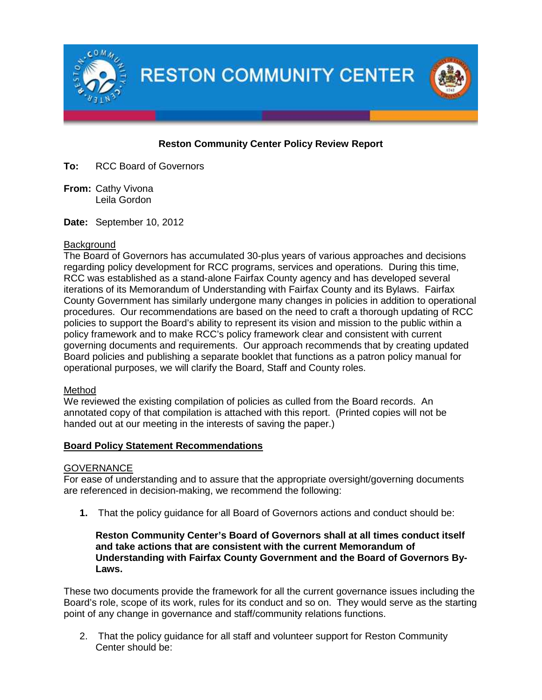

# **Reston Community Center Policy Review Report**

**To:** RCC Board of Governors

**From:** Cathy Vivona Leila Gordon

**Date:** September 10, 2012

## **Background**

The Board of Governors has accumulated 30-plus years of various approaches and decisions regarding policy development for RCC programs, services and operations. During this time, RCC was established as a stand-alone Fairfax County agency and has developed several iterations of its Memorandum of Understanding with Fairfax County and its Bylaws. Fairfax County Government has similarly undergone many changes in policies in addition to operational procedures. Our recommendations are based on the need to craft a thorough updating of RCC policies to support the Board's ability to represent its vision and mission to the public within a policy framework and to make RCC's policy framework clear and consistent with current governing documents and requirements. Our approach recommends that by creating updated Board policies and publishing a separate booklet that functions as a patron policy manual for operational purposes, we will clarify the Board, Staff and County roles.

# Method

We reviewed the existing compilation of policies as culled from the Board records. An annotated copy of that compilation is attached with this report. (Printed copies will not be handed out at our meeting in the interests of saving the paper.)

# **Board Policy Statement Recommendations**

# **GOVERNANCE**

For ease of understanding and to assure that the appropriate oversight/governing documents are referenced in decision-making, we recommend the following:

**1.** That the policy guidance for all Board of Governors actions and conduct should be:

## **Reston Community Center's Board of Governors shall at all times conduct itself and take actions that are consistent with the current Memorandum of Understanding with Fairfax County Government and the Board of Governors By-Laws.**

These two documents provide the framework for all the current governance issues including the Board's role, scope of its work, rules for its conduct and so on. They would serve as the starting point of any change in governance and staff/community relations functions.

2. That the policy guidance for all staff and volunteer support for Reston Community Center should be: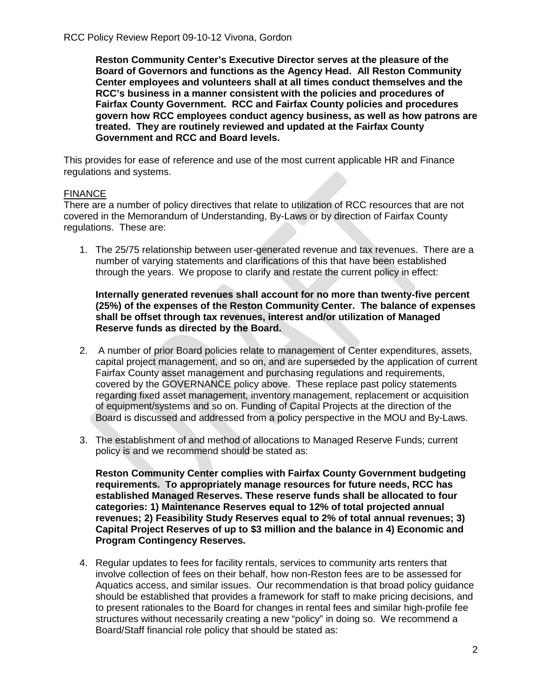**Reston Community Center's Executive Director serves at the pleasure of the Board of Governors and functions as the Agency Head. All Reston Community Center employees and volunteers shall at all times conduct themselves and the RCC's business in a manner consistent with the policies and procedures of Fairfax County Government. RCC and Fairfax County policies and procedures govern how RCC employees conduct agency business, as well as how patrons are treated. They are routinely reviewed and updated at the Fairfax County Government and RCC and Board levels.**

This provides for ease of reference and use of the most current applicable HR and Finance regulations and systems.

## FINANCE

There are a number of policy directives that relate to utilization of RCC resources that are not covered in the Memorandum of Understanding, By-Laws or by direction of Fairfax County regulations. These are:

1. The 25/75 relationship between user-generated revenue and tax revenues. There are a number of varying statements and clarifications of this that have been established through the years. We propose to clarify and restate the current policy in effect:

### **Internally generated revenues shall account for no more than twenty-five percent (25%) of the expenses of the Reston Community Center. The balance of expenses shall be offset through tax revenues, interest and/or utilization of Managed Reserve funds as directed by the Board.**

- 2. A number of prior Board policies relate to management of Center expenditures, assets, capital project management, and so on, and are superseded by the application of current Fairfax County asset management and purchasing regulations and requirements, covered by the GOVERNANCE policy above. These replace past policy statements regarding fixed asset management, inventory management, replacement or acquisition of equipment/systems and so on. Funding of Capital Projects at the direction of the Board is discussed and addressed from a policy perspective in the MOU and By-Laws.
- 3. The establishment of and method of allocations to Managed Reserve Funds; current policy is and we recommend should be stated as:

**Reston Community Center complies with Fairfax County Government budgeting requirements. To appropriately manage resources for future needs, RCC has established Managed Reserves. These reserve funds shall be allocated to four categories: 1) Maintenance Reserves equal to 12% of total projected annual revenues; 2) Feasibility Study Reserves equal to 2% of total annual revenues; 3) Capital Project Reserves of up to \$3 million and the balance in 4) Economic and Program Contingency Reserves.**

4. Regular updates to fees for facility rentals, services to community arts renters that involve collection of fees on their behalf, how non-Reston fees are to be assessed for Aquatics access, and similar issues. Our recommendation is that broad policy guidance should be established that provides a framework for staff to make pricing decisions, and to present rationales to the Board for changes in rental fees and similar high-profile fee structures without necessarily creating a new "policy" in doing so. We recommend a Board/Staff financial role policy that should be stated as: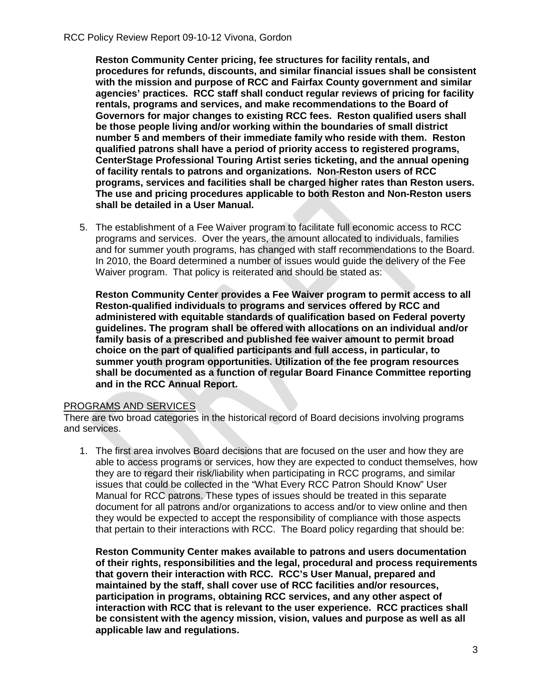**Reston Community Center pricing, fee structures for facility rentals, and procedures for refunds, discounts, and similar financial issues shall be consistent with the mission and purpose of RCC and Fairfax County government and similar agencies' practices. RCC staff shall conduct regular reviews of pricing for facility rentals, programs and services, and make recommendations to the Board of Governors for major changes to existing RCC fees. Reston qualified users shall be those people living and/or working within the boundaries of small district number 5 and members of their immediate family who reside with them. Reston qualified patrons shall have a period of priority access to registered programs, CenterStage Professional Touring Artist series ticketing, and the annual opening of facility rentals to patrons and organizations. Non-Reston users of RCC programs, services and facilities shall be charged higher rates than Reston users. The use and pricing procedures applicable to both Reston and Non-Reston users shall be detailed in a User Manual.**

5. The establishment of a Fee Waiver program to facilitate full economic access to RCC programs and services. Over the years, the amount allocated to individuals, families and for summer youth programs, has changed with staff recommendations to the Board. In 2010, the Board determined a number of issues would guide the delivery of the Fee Waiver program. That policy is reiterated and should be stated as:

**Reston Community Center provides a Fee Waiver program to permit access to all Reston-qualified individuals to programs and services offered by RCC and administered with equitable standards of qualification based on Federal poverty guidelines. The program shall be offered with allocations on an individual and/or family basis of a prescribed and published fee waiver amount to permit broad choice on the part of qualified participants and full access, in particular, to summer youth program opportunities. Utilization of the fee program resources shall be documented as a function of regular Board Finance Committee reporting and in the RCC Annual Report.**

### PROGRAMS AND SERVICES

There are two broad categories in the historical record of Board decisions involving programs and services.

1. The first area involves Board decisions that are focused on the user and how they are able to access programs or services, how they are expected to conduct themselves, how they are to regard their risk/liability when participating in RCC programs, and similar issues that could be collected in the "What Every RCC Patron Should Know" User Manual for RCC patrons. These types of issues should be treated in this separate document for all patrons and/or organizations to access and/or to view online and then they would be expected to accept the responsibility of compliance with those aspects that pertain to their interactions with RCC. The Board policy regarding that should be:

**Reston Community Center makes available to patrons and users documentation of their rights, responsibilities and the legal, procedural and process requirements that govern their interaction with RCC. RCC's User Manual, prepared and maintained by the staff, shall cover use of RCC facilities and/or resources, participation in programs, obtaining RCC services, and any other aspect of interaction with RCC that is relevant to the user experience. RCC practices shall be consistent with the agency mission, vision, values and purpose as well as all applicable law and regulations.**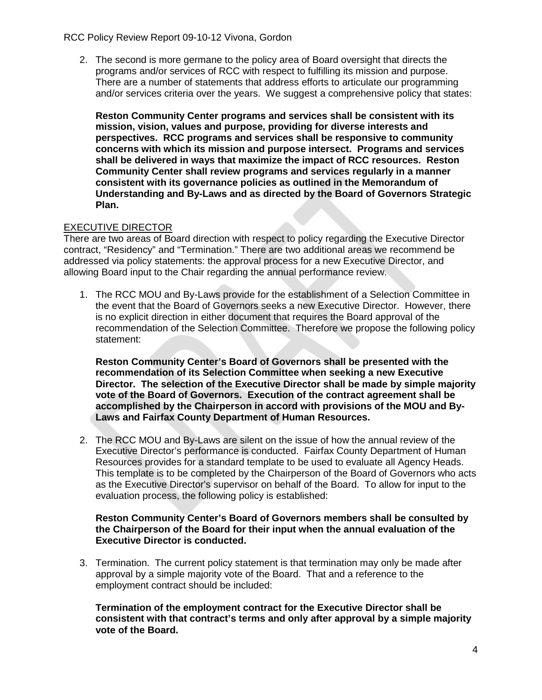## RCC Policy Review Report 09-10-12 Vivona, Gordon

2. The second is more germane to the policy area of Board oversight that directs the programs and/or services of RCC with respect to fulfilling its mission and purpose. There are a number of statements that address efforts to articulate our programming and/or services criteria over the years. We suggest a comprehensive policy that states:

**Reston Community Center programs and services shall be consistent with its mission, vision, values and purpose, providing for diverse interests and perspectives. RCC programs and services shall be responsive to community concerns with which its mission and purpose intersect. Programs and services shall be delivered in ways that maximize the impact of RCC resources. Reston Community Center shall review programs and services regularly in a manner consistent with its governance policies as outlined in the Memorandum of Understanding and By-Laws and as directed by the Board of Governors Strategic Plan.**

# EXECUTIVE DIRECTOR

There are two areas of Board direction with respect to policy regarding the Executive Director contract, "Residency" and "Termination." There are two additional areas we recommend be addressed via policy statements: the approval process for a new Executive Director, and allowing Board input to the Chair regarding the annual performance review.

1. The RCC MOU and By-Laws provide for the establishment of a Selection Committee in the event that the Board of Governors seeks a new Executive Director. However, there is no explicit direction in either document that requires the Board approval of the recommendation of the Selection Committee. Therefore we propose the following policy statement:

**Reston Community Center's Board of Governors shall be presented with the recommendation of its Selection Committee when seeking a new Executive Director. The selection of the Executive Director shall be made by simple majority vote of the Board of Governors. Execution of the contract agreement shall be accomplished by the Chairperson in accord with provisions of the MOU and By-Laws and Fairfax County Department of Human Resources.**

2. The RCC MOU and By-Laws are silent on the issue of how the annual review of the Executive Director's performance is conducted. Fairfax County Department of Human Resources provides for a standard template to be used to evaluate all Agency Heads. This template is to be completed by the Chairperson of the Board of Governors who acts as the Executive Director's supervisor on behalf of the Board. To allow for input to the evaluation process, the following policy is established:

### **Reston Community Center's Board of Governors members shall be consulted by the Chairperson of the Board for their input when the annual evaluation of the Executive Director is conducted.**

3. Termination. The current policy statement is that termination may only be made after approval by a simple majority vote of the Board. That and a reference to the employment contract should be included:

**Termination of the employment contract for the Executive Director shall be consistent with that contract's terms and only after approval by a simple majority vote of the Board.**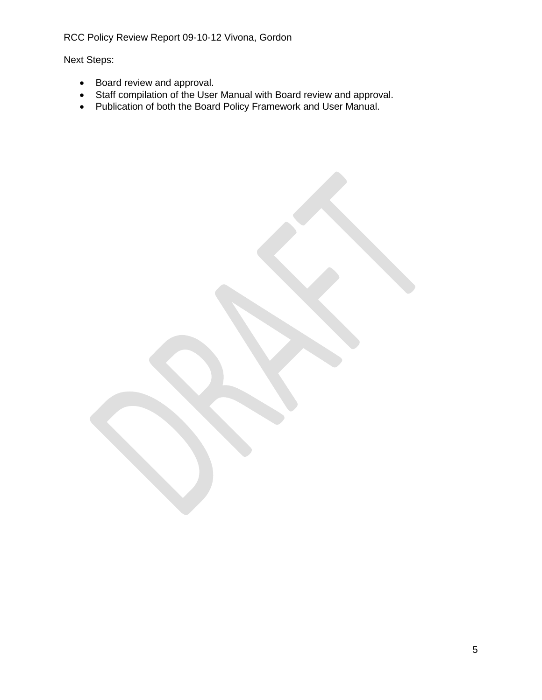RCC Policy Review Report 09-10-12 Vivona, Gordon

Next Steps:

- Board review and approval.
- Staff compilation of the User Manual with Board review and approval.
- Publication of both the Board Policy Framework and User Manual.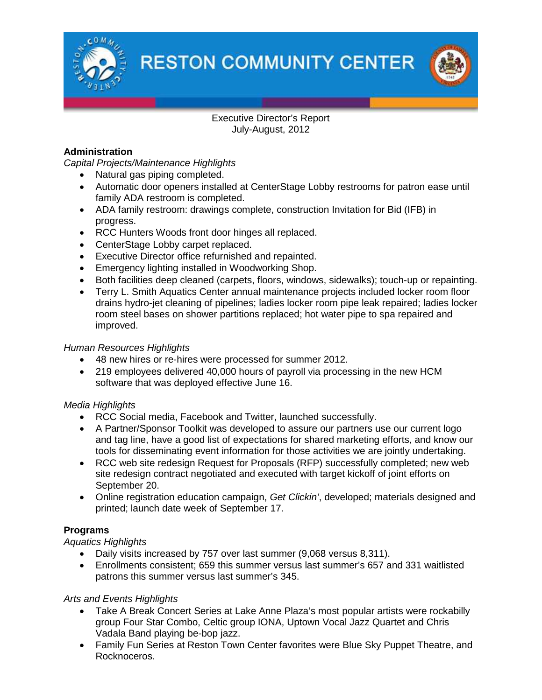

**RESTON COMMUNITY CENTER** 



# Executive Director's Report July-August, 2012

# **Administration**

*Capital Projects/Maintenance Highlights*

- Natural gas piping completed.
- Automatic door openers installed at CenterStage Lobby restrooms for patron ease until family ADA restroom is completed.
- ADA family restroom: drawings complete, construction Invitation for Bid (IFB) in progress.
- RCC Hunters Woods front door hinges all replaced.
- CenterStage Lobby carpet replaced.
- Executive Director office refurnished and repainted.
- Emergency lighting installed in Woodworking Shop.
- Both facilities deep cleaned (carpets, floors, windows, sidewalks); touch-up or repainting.
- Terry L. Smith Aquatics Center annual maintenance projects included locker room floor drains hydro-jet cleaning of pipelines; ladies locker room pipe leak repaired; ladies locker room steel bases on shower partitions replaced; hot water pipe to spa repaired and improved.

# *Human Resources Highlights*

- 48 new hires or re-hires were processed for summer 2012.
- 219 employees delivered 40,000 hours of payroll via processing in the new HCM software that was deployed effective June 16.

# *Media Highlights*

- RCC Social media, Facebook and Twitter, launched successfully.
- A Partner/Sponsor Toolkit was developed to assure our partners use our current logo and tag line, have a good list of expectations for shared marketing efforts, and know our tools for disseminating event information for those activities we are jointly undertaking.
- RCC web site redesign Request for Proposals (RFP) successfully completed; new web site redesign contract negotiated and executed with target kickoff of joint efforts on September 20.
- Online registration education campaign, *Get Clickin'*, developed; materials designed and printed; launch date week of September 17.

# **Programs**

# *Aquatics Highlights*

- Daily visits increased by 757 over last summer (9,068 versus 8,311).
- Enrollments consistent; 659 this summer versus last summer's 657 and 331 waitlisted patrons this summer versus last summer's 345.

# *Arts and Events Highlights*

- Take A Break Concert Series at Lake Anne Plaza's most popular artists were rockabilly group Four Star Combo, Celtic group IONA, Uptown Vocal Jazz Quartet and Chris Vadala Band playing be-bop jazz.
- Family Fun Series at Reston Town Center favorites were Blue Sky Puppet Theatre, and Rocknoceros.